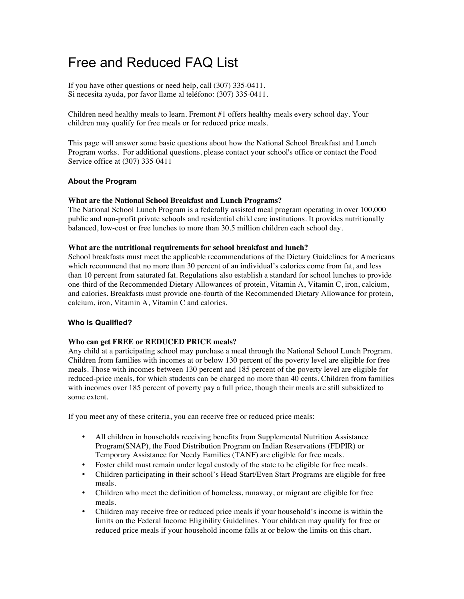# Free and Reduced FAQ List

If you have other questions or need help, call (307) 335-0411. Si necesita ayuda, por favor llame al teléfono: (307) 335-0411.

Children need healthy meals to learn. Fremont #1 offers healthy meals every school day. Your children may qualify for free meals or for reduced price meals.

This page will answer some basic questions about how the National School Breakfast and Lunch Program works. For additional questions, please contact your school's office or contact the Food Service office at (307) 335-0411

# **About the Program**

# **What are the National School Breakfast and Lunch Programs?**

The National School Lunch Program is a federally assisted meal program operating in over 100,000 public and non-profit private schools and residential child care institutions. It provides nutritionally balanced, low-cost or free lunches to more than 30.5 million children each school day.

# **What are the nutritional requirements for school breakfast and lunch?**

School breakfasts must meet the applicable recommendations of the Dietary Guidelines for Americans which recommend that no more than 30 percent of an individual's calories come from fat, and less than 10 percent from saturated fat. Regulations also establish a standard for school lunches to provide one-third of the Recommended Dietary Allowances of protein, Vitamin A, Vitamin C, iron, calcium, and calories. Breakfasts must provide one-fourth of the Recommended Dietary Allowance for protein, calcium, iron, Vitamin A, Vitamin C and calories.

# **Who is Qualified?**

# **Who can get FREE or REDUCED PRICE meals?**

Any child at a participating school may purchase a meal through the National School Lunch Program. Children from families with incomes at or below 130 percent of the poverty level are eligible for free meals. Those with incomes between 130 percent and 185 percent of the poverty level are eligible for reduced-price meals, for which students can be charged no more than 40 cents. Children from families with incomes over 185 percent of poverty pay a full price, though their meals are still subsidized to some extent.

If you meet any of these criteria, you can receive free or reduced price meals:

- All children in households receiving benefits from Supplemental Nutrition Assistance Program(SNAP), the Food Distribution Program on Indian Reservations (FDPIR) or Temporary Assistance for Needy Families (TANF) are eligible for free meals.
- Foster child must remain under legal custody of the state to be eligible for free meals.
- Children participating in their school's Head Start/Even Start Programs are eligible for free meals.
- Children who meet the definition of homeless, runaway, or migrant are eligible for free meals.
- Children may receive free or reduced price meals if your household's income is within the limits on the Federal Income Eligibility Guidelines. Your children may qualify for free or reduced price meals if your household income falls at or below the limits on this chart.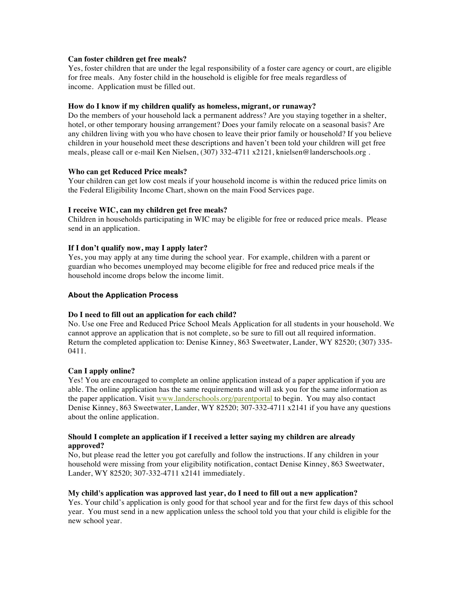# **Can foster children get free meals?**

Yes, foster children that are under the legal responsibility of a foster care agency or court, are eligible for free meals. Any foster child in the household is eligible for free meals regardless of income. Application must be filled out.

# **How do I know if my children qualify as homeless, migrant, or runaway?**

Do the members of your household lack a permanent address? Are you staying together in a shelter, hotel, or other temporary housing arrangement? Does your family relocate on a seasonal basis? Are any children living with you who have chosen to leave their prior family or household? If you believe children in your household meet these descriptions and haven't been told your children will get free meals, please call or e-mail Ken Nielsen, (307) 332-4711 x2121, knielsen@landerschools.org .

# **Who can get Reduced Price meals?**

Your children can get low cost meals if your household income is within the reduced price limits on the Federal Eligibility Income Chart, shown on the main Food Services page.

# **I receive WIC, can my children get free meals?**

Children in households participating in WIC may be eligible for free or reduced price meals. Please send in an application.

# **If I don't qualify now, may I apply later?**

Yes, you may apply at any time during the school year. For example, children with a parent or guardian who becomes unemployed may become eligible for free and reduced price meals if the household income drops below the income limit.

#### **About the Application Process**

#### **Do I need to fill out an application for each child?**

No. Use one Free and Reduced Price School Meals Application for all students in your household. We cannot approve an application that is not complete, so be sure to fill out all required information. Return the completed application to: Denise Kinney, 863 Sweetwater, Lander, WY 82520; (307) 335- 0411.

#### **Can I apply online?**

Yes! You are encouraged to complete an online application instead of a paper application if you are able. The online application has the same requirements and will ask you for the same information as the paper application. Visit www.landerschools.org/parentportal to begin. You may also contact Denise Kinney, 863 Sweetwater, Lander, WY 82520; 307-332-4711 x2141 if you have any questions about the online application.

# **Should I complete an application if I received a letter saying my children are already approved?**

No, but please read the letter you got carefully and follow the instructions. If any children in your household were missing from your eligibility notification, contact Denise Kinney, 863 Sweetwater, Lander, WY 82520; 307-332-4711 x2141 immediately.

#### **My child's application was approved last year, do I need to fill out a new application?**

Yes. Your child's application is only good for that school year and for the first few days of this school year. You must send in a new application unless the school told you that your child is eligible for the new school year.